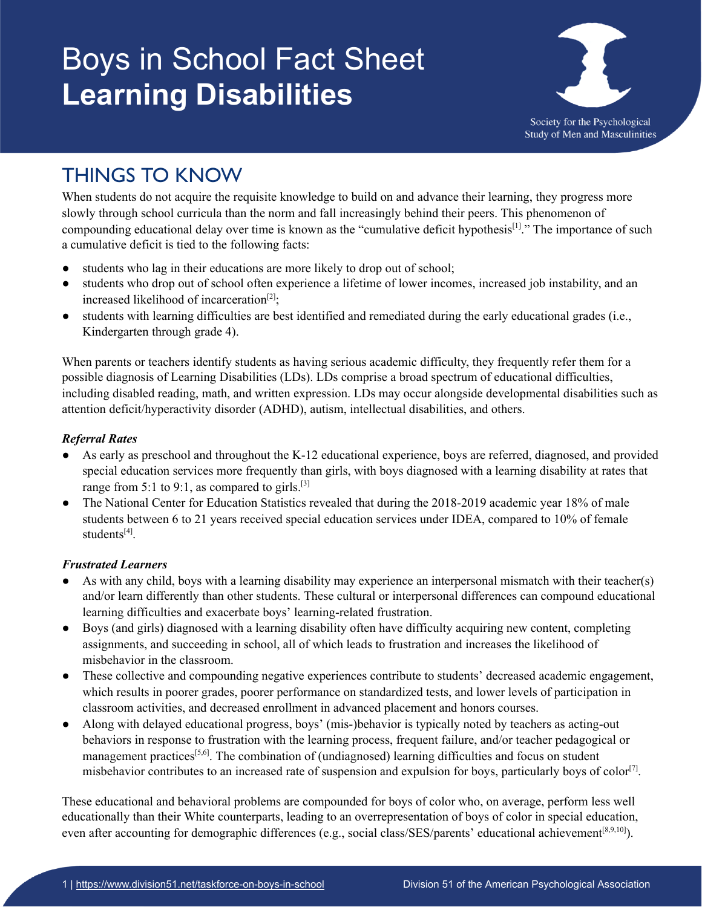# Boys in School Fact Sheet **Learning Disabilities**



## THINGS TO KNOW

When students do not acquire the requisite knowledge to build on and advance their learning, they progress more slowly through school curricula than the norm and fall increasingly behind their peers. This phenomenon of compounding educational delay over time is known as the "cumulative deficit hypothesis<sup>[1]</sup>." The importance of such a cumulative deficit is tied to the following facts:

- students who lag in their educations are more likely to drop out of school;
- students who drop out of school often experience a lifetime of lower incomes, increased job instability, and an increased likelihood of incarceration<sup>[2]</sup>;
- students with learning difficulties are best identified and remediated during the early educational grades (i.e., Kindergarten through grade 4).

When parents or teachers identify students as having serious academic difficulty, they frequently refer them for a possible diagnosis of Learning Disabilities (LDs). LDs comprise a broad spectrum of educational difficulties, including disabled reading, math, and written expression. LDs may occur alongside developmental disabilities such as attention deficit/hyperactivity disorder (ADHD), autism, intellectual disabilities, and others.

#### *Referral Rates*

- As early as preschool and throughout the K-12 educational experience, boys are referred, diagnosed, and provided special education services more frequently than girls, with boys diagnosed with a learning disability at rates that range from 5:1 to 9:1, as compared to girls.<sup>[3]</sup>
- The National Center for Education Statistics revealed that during the 2018-2019 academic year 18% of male students between 6 to 21 years received special education services under IDEA, compared to 10% of female students<sup>[4]</sup>.

#### *Frustrated Learners*

- As with any child, boys with a learning disability may experience an interpersonal mismatch with their teacher(s) and/or learn differently than other students. These cultural or interpersonal differences can compound educational learning difficulties and exacerbate boys' learning-related frustration.
- Boys (and girls) diagnosed with a learning disability often have difficulty acquiring new content, completing assignments, and succeeding in school, all of which leads to frustration and increases the likelihood of misbehavior in the classroom.
- These collective and compounding negative experiences contribute to students' decreased academic engagement, which results in poorer grades, poorer performance on standardized tests, and lower levels of participation in classroom activities, and decreased enrollment in advanced placement and honors courses.
- Along with delayed educational progress, boys' (mis-)behavior is typically noted by teachers as acting-out behaviors in response to frustration with the learning process, frequent failure, and/or teacher pedagogical or management practices<sup>[5,6]</sup>. The combination of (undiagnosed) learning difficulties and focus on student misbehavior contributes to an increased rate of suspension and expulsion for boys, particularly boys of color<sup>[7]</sup>.

These educational and behavioral problems are compounded for boys of color who, on average, perform less well educationally than their White counterparts, leading to an overrepresentation of boys of color in special education, even after accounting for demographic differences (e.g., social class/SES/parents' educational achievement<sup>[8,9,10]</sup>).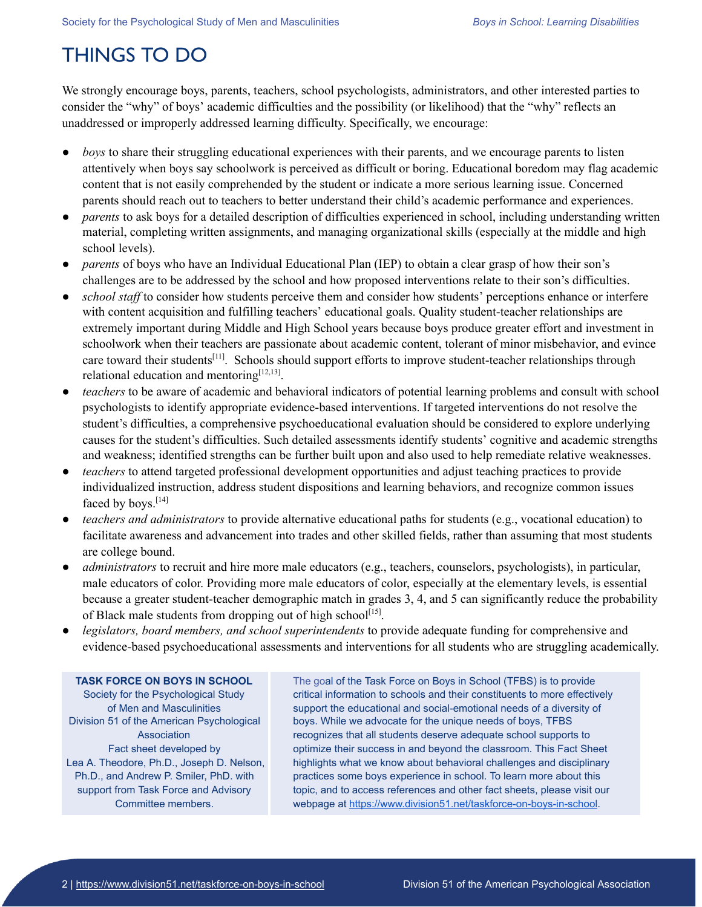## THINGS TO DO

We strongly encourage boys, parents, teachers, school psychologists, administrators, and other interested parties to consider the "why" of boys' academic difficulties and the possibility (or likelihood) that the "why" reflects an unaddressed or improperly addressed learning difficulty. Specifically, we encourage:

- *boys* to share their struggling educational experiences with their parents, and we encourage parents to listen attentively when boys say schoolwork is perceived as difficult or boring. Educational boredom may flag academic content that is not easily comprehended by the student or indicate a more serious learning issue. Concerned parents should reach out to teachers to better understand their child's academic performance and experiences.
- *parents* to ask boys for a detailed description of difficulties experienced in school, including understanding written material, completing written assignments, and managing organizational skills (especially at the middle and high school levels).
- parents of boys who have an Individual Educational Plan (IEP) to obtain a clear grasp of how their son's challenges are to be addressed by the school and how proposed interventions relate to their son's difficulties.
- *school staff* to consider how students perceive them and consider how students' perceptions enhance or interfere with content acquisition and fulfilling teachers' educational goals. Quality student-teacher relationships are extremely important during Middle and High School years because boys produce greater effort and investment in schoolwork when their teachers are passionate about academic content, tolerant of minor misbehavior, and evince care toward their students<sup>[11]</sup>. Schools should support efforts to improve student-teacher relationships through relational education and mentoring $^{[12,13]}$ .
- *teachers* to be aware of academic and behavioral indicators of potential learning problems and consult with school psychologists to identify appropriate evidence-based interventions. If targeted interventions do not resolve the student's difficulties, a comprehensive psychoeducational evaluation should be considered to explore underlying causes for the student's difficulties. Such detailed assessments identify students' cognitive and academic strengths and weakness; identified strengths can be further built upon and also used to help remediate relative weaknesses.
- *teachers* to attend targeted professional development opportunities and adjust teaching practices to provide individualized instruction, address student dispositions and learning behaviors, and recognize common issues faced by boys.<sup>[14]</sup>
- *teachers and administrators* to provide alternative educational paths for students (e.g., vocational education) to facilitate awareness and advancement into trades and other skilled fields, rather than assuming that most students are college bound.
- *administrators* to recruit and hire more male educators (e.g., teachers, counselors, psychologists), in particular, male educators of color. Providing more male educators of color, especially at the elementary levels, is essential because a greater student-teacher demographic match in grades 3, 4, and 5 can significantly reduce the probability of Black male students from dropping out of high school<sup>[15]</sup>.
- *legislators, board members, and school superintendents* to provide adequate funding for comprehensive and evidence-based psychoeducational assessments and interventions for all students who are struggling academically.

#### **TASK FORCE ON BOYS IN SCHOOL** Society for the Psychological Study of Men and Masculinities Division 51 of the American Psychological

Association Fact sheet developed by Lea A. Theodore, Ph.D., Joseph D. Nelson, Ph.D., and Andrew P. Smiler, PhD. with support from Task Force and Advisory Committee members.

The goal of the Task Force on Boys in School (TFBS) is to provide critical information to schools and their constituents to more effectively support the educational and social-emotional needs of a diversity of boys. While we advocate for the unique needs of boys, TFBS recognizes that all students deserve adequate school supports to optimize their success in and beyond the classroom. This Fact Sheet highlights what we know about behavioral challenges and disciplinary practices some boys experience in school. To learn more about this topic, and to access references and other fact sheets, please visit our webpage at <https://www.division51.net/taskforce-on-boys-in-school>.